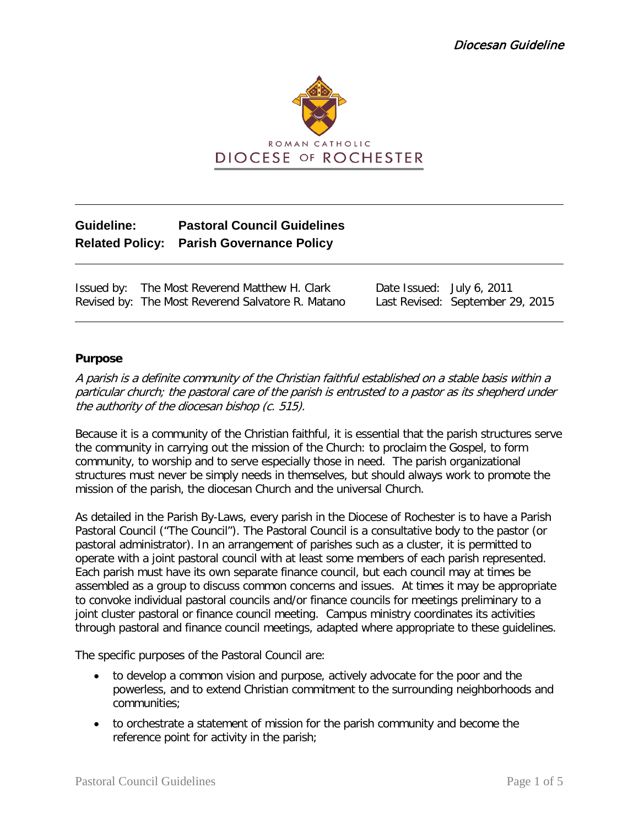

# **Guideline: Pastoral Council Guidelines Related Policy: Parish Governance Policy**

Issued by: The Most Reverend Matthew H. Clark Date Issued: July 6, 2011 Revised by: The Most Reverend Salvatore R. Matano Last Revised: September 29, 2015

## **Purpose**

A parish is a definite community of the Christian faithful established on a stable basis within a particular church; the pastoral care of the parish is entrusted to a pastor as its shepherd under the authority of the diocesan bishop (c. 515).

Because it is a community of the Christian faithful, it is essential that the parish structures serve the community in carrying out the mission of the Church: to proclaim the Gospel, to form community, to worship and to serve especially those in need. The parish organizational structures must never be simply needs in themselves, but should always work to promote the mission of the parish, the diocesan Church and the universal Church.

As detailed in the Parish By-Laws, every parish in the Diocese of Rochester is to have a Parish Pastoral Council ("The Council"). The Pastoral Council is a consultative body to the pastor (or pastoral administrator). In an arrangement of parishes such as a cluster, it is permitted to operate with a joint pastoral council with at least some members of each parish represented. Each parish must have its own separate finance council, but each council may at times be assembled as a group to discuss common concerns and issues. At times it may be appropriate to convoke individual pastoral councils and/or finance councils for meetings preliminary to a joint cluster pastoral or finance council meeting. Campus ministry coordinates its activities through pastoral and finance council meetings, adapted where appropriate to these guidelines.

The specific purposes of the Pastoral Council are:

- to develop a common vision and purpose, actively advocate for the poor and the powerless, and to extend Christian commitment to the surrounding neighborhoods and communities;
- to orchestrate a statement of mission for the parish community and become the reference point for activity in the parish;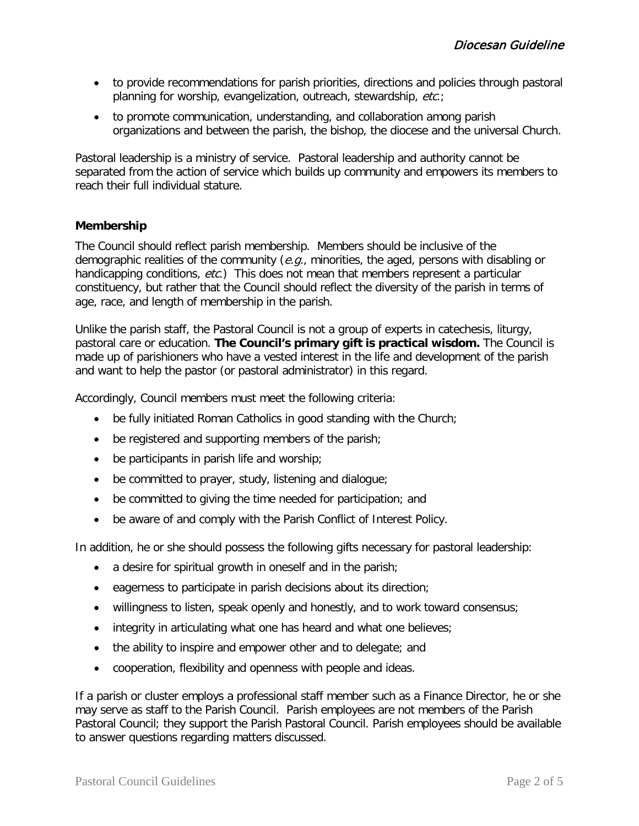- to provide recommendations for parish priorities, directions and policies through pastoral planning for worship, evangelization, outreach, stewardship, etc.;
- to promote communication, understanding, and collaboration among parish organizations and between the parish, the bishop, the diocese and the universal Church.

Pastoral leadership is a ministry of service. Pastoral leadership and authority cannot be separated from the action of service which builds up community and empowers its members to reach their full individual stature.

# **Membership**

The Council should reflect parish membership. Members should be inclusive of the demographic realities of the community ( $e.g.,$  minorities, the aged, persons with disabling or handicapping conditions, etc.) This does not mean that members represent a particular constituency, but rather that the Council should reflect the diversity of the parish in terms of age, race, and length of membership in the parish.

Unlike the parish staff, the Pastoral Council is not a group of experts in catechesis, liturgy, pastoral care or education. **The Council's primary gift is practical wisdom.** The Council is made up of parishioners who have a vested interest in the life and development of the parish and want to help the pastor (or pastoral administrator) in this regard.

Accordingly, Council members must meet the following criteria:

- be fully initiated Roman Catholics in good standing with the Church;
- be registered and supporting members of the parish;
- be participants in parish life and worship;
- be committed to prayer, study, listening and dialogue;
- be committed to giving the time needed for participation; and
- be aware of and comply with the Parish Conflict of Interest Policy.

In addition, he or she should possess the following gifts necessary for pastoral leadership:

- a desire for spiritual growth in oneself and in the parish;
- eagerness to participate in parish decisions about its direction;
- willingness to listen, speak openly and honestly, and to work toward consensus;
- integrity in articulating what one has heard and what one believes;
- the ability to inspire and empower other and to delegate; and
- cooperation, flexibility and openness with people and ideas.

If a parish or cluster employs a professional staff member such as a Finance Director, he or she may serve as staff to the Parish Council. Parish employees are not members of the Parish Pastoral Council; they support the Parish Pastoral Council. Parish employees should be available to answer questions regarding matters discussed.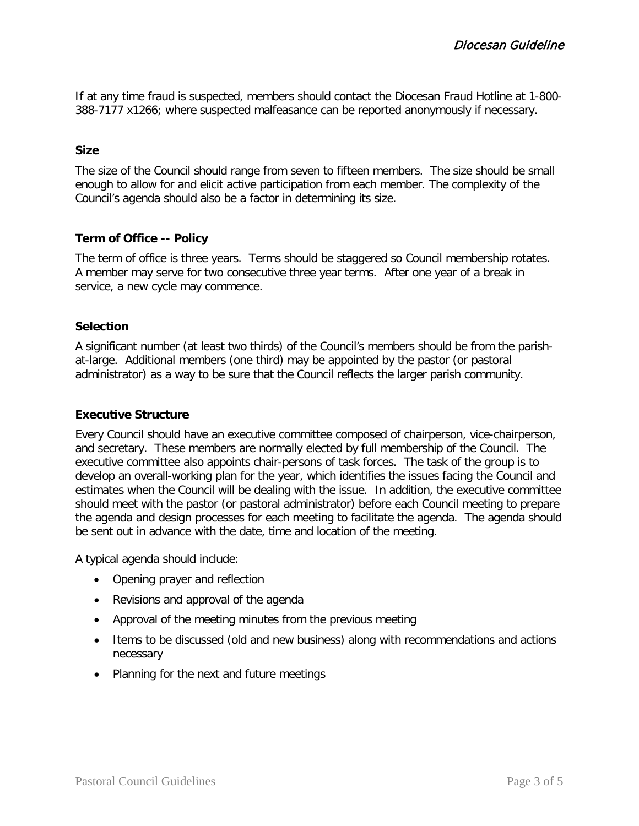If at any time fraud is suspected, members should contact the Diocesan Fraud Hotline at 1-800- 388-7177 x1266; where suspected malfeasance can be reported anonymously if necessary.

#### **Size**

The size of the Council should range from seven to fifteen members. The size should be small enough to allow for and elicit active participation from each member. The complexity of the Council's agenda should also be a factor in determining its size.

#### **Term of Office -- Policy**

The term of office is three years. Terms should be staggered so Council membership rotates. A member may serve for two consecutive three year terms. After one year of a break in service, a new cycle may commence.

#### **Selection**

A significant number (at least two thirds) of the Council's members should be from the parishat-large. Additional members (one third) may be appointed by the pastor (or pastoral administrator) as a way to be sure that the Council reflects the larger parish community.

#### **Executive Structure**

Every Council should have an executive committee composed of chairperson, vice-chairperson, and secretary. These members are normally elected by full membership of the Council. The executive committee also appoints chair-persons of task forces. The task of the group is to develop an overall-working plan for the year, which identifies the issues facing the Council and estimates when the Council will be dealing with the issue. In addition, the executive committee should meet with the pastor (or pastoral administrator) before each Council meeting to prepare the agenda and design processes for each meeting to facilitate the agenda. The agenda should be sent out in advance with the date, time and location of the meeting.

A typical agenda should include:

- Opening prayer and reflection
- Revisions and approval of the agenda
- Approval of the meeting minutes from the previous meeting
- Items to be discussed (old and new business) along with recommendations and actions necessary
- Planning for the next and future meetings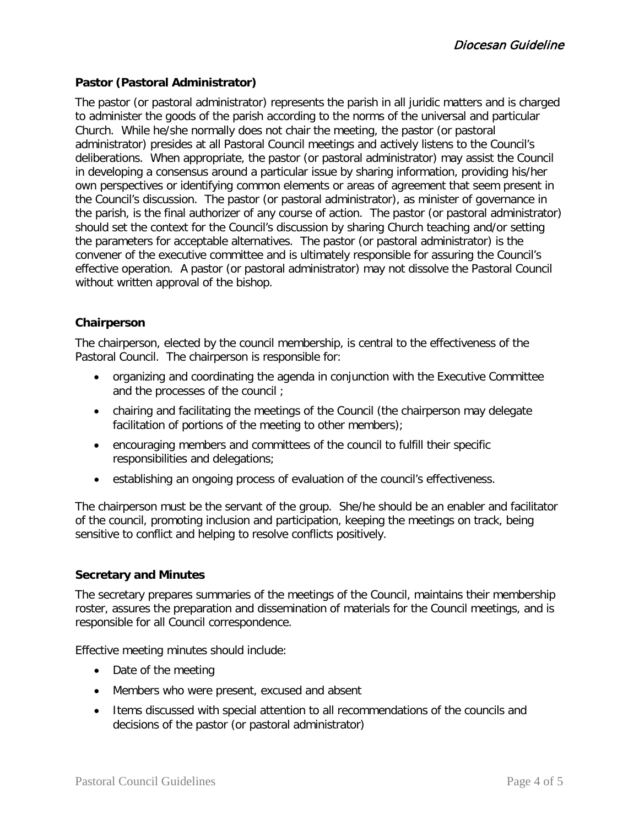# **Pastor (Pastoral Administrator)**

The pastor (or pastoral administrator) represents the parish in all juridic matters and is charged to administer the goods of the parish according to the norms of the universal and particular Church. While he/she normally does not chair the meeting, the pastor (or pastoral administrator) presides at all Pastoral Council meetings and actively listens to the Council's deliberations. When appropriate, the pastor (or pastoral administrator) may assist the Council in developing a consensus around a particular issue by sharing information, providing his/her own perspectives or identifying common elements or areas of agreement that seem present in the Council's discussion. The pastor (or pastoral administrator), as minister of governance in the parish, is the final authorizer of any course of action. The pastor (or pastoral administrator) should set the context for the Council's discussion by sharing Church teaching and/or setting the parameters for acceptable alternatives. The pastor (or pastoral administrator) is the convener of the executive committee and is ultimately responsible for assuring the Council's effective operation. A pastor (or pastoral administrator) may not dissolve the Pastoral Council without written approval of the bishop.

## **Chairperson**

The chairperson, elected by the council membership, is central to the effectiveness of the Pastoral Council. The chairperson is responsible for:

- organizing and coordinating the agenda in conjunction with the Executive Committee and the processes of the council ;
- chairing and facilitating the meetings of the Council (the chairperson may delegate facilitation of portions of the meeting to other members);
- encouraging members and committees of the council to fulfill their specific responsibilities and delegations;
- establishing an ongoing process of evaluation of the council's effectiveness.

The chairperson must be the servant of the group. She/he should be an enabler and facilitator of the council, promoting inclusion and participation, keeping the meetings on track, being sensitive to conflict and helping to resolve conflicts positively.

## **Secretary and Minutes**

The secretary prepares summaries of the meetings of the Council, maintains their membership roster, assures the preparation and dissemination of materials for the Council meetings, and is responsible for all Council correspondence.

Effective meeting minutes should include:

- Date of the meeting
- Members who were present, excused and absent
- Items discussed with special attention to all recommendations of the councils and decisions of the pastor (or pastoral administrator)